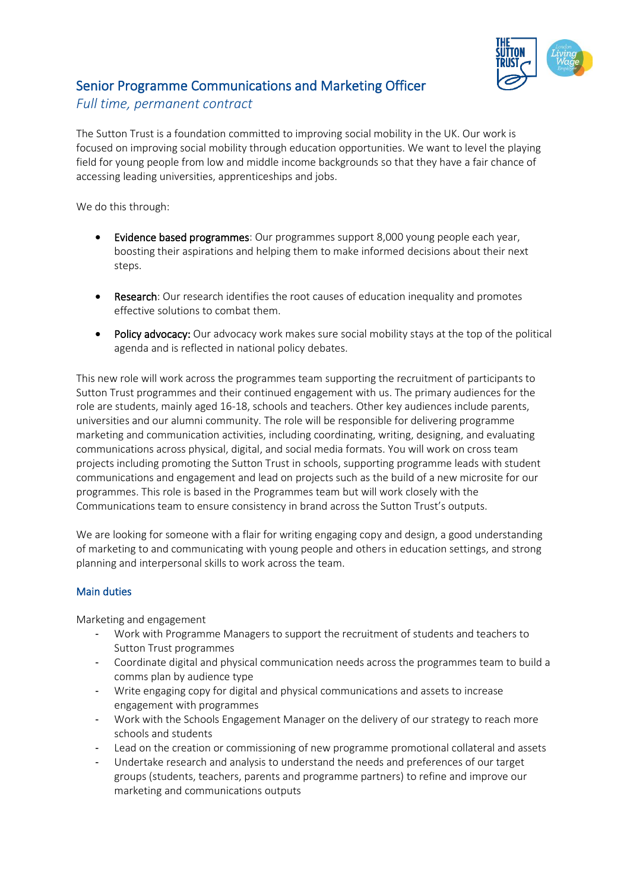

# Senior Programme Communications and Marketing Officer

# *Full time, permanent contract*

The Sutton Trust is a foundation committed to improving social mobility in the UK. Our work is focused on improving social mobility through education opportunities. We want to level the playing field for young people from low and middle income backgrounds so that they have a fair chance of accessing leading universities, apprenticeships and jobs.

We do this through:

- Evidence based programmes: Our programmes support 8,000 young people each year, boosting their aspirations and helping them to make informed decisions about their next steps.
- Research: Our research identifies the root causes of education inequality and promotes effective solutions to combat them.
- Policy advocacy: Our advocacy work makes sure social mobility stays at the top of the political agenda and is reflected in national policy debates.

This new role will work across the programmes team supporting the recruitment of participants to Sutton Trust programmes and their continued engagement with us. The primary audiences for the role are students, mainly aged 16-18, schools and teachers. Other key audiences include parents, universities and our alumni community. The role will be responsible for delivering programme marketing and communication activities, including coordinating, writing, designing, and evaluating communications across physical, digital, and social media formats. You will work on cross team projects including promoting the Sutton Trust in schools, supporting programme leads with student communications and engagement and lead on projects such as the build of a new microsite for our programmes. This role is based in the Programmes team but will work closely with the Communications team to ensure consistency in brand across the Sutton Trust's outputs.

We are looking for someone with a flair for writing engaging copy and design, a good understanding of marketing to and communicating with young people and others in education settings, and strong planning and interpersonal skills to work across the team.

## Main duties

Marketing and engagement

- Work with Programme Managers to support the recruitment of students and teachers to Sutton Trust programmes
- Coordinate digital and physical communication needs across the programmes team to build a comms plan by audience type
- Write engaging copy for digital and physical communications and assets to increase engagement with programmes
- Work with the Schools Engagement Manager on the delivery of our strategy to reach more schools and students
- Lead on the creation or commissioning of new programme promotional collateral and assets
- Undertake research and analysis to understand the needs and preferences of our target groups (students, teachers, parents and programme partners) to refine and improve our marketing and communications outputs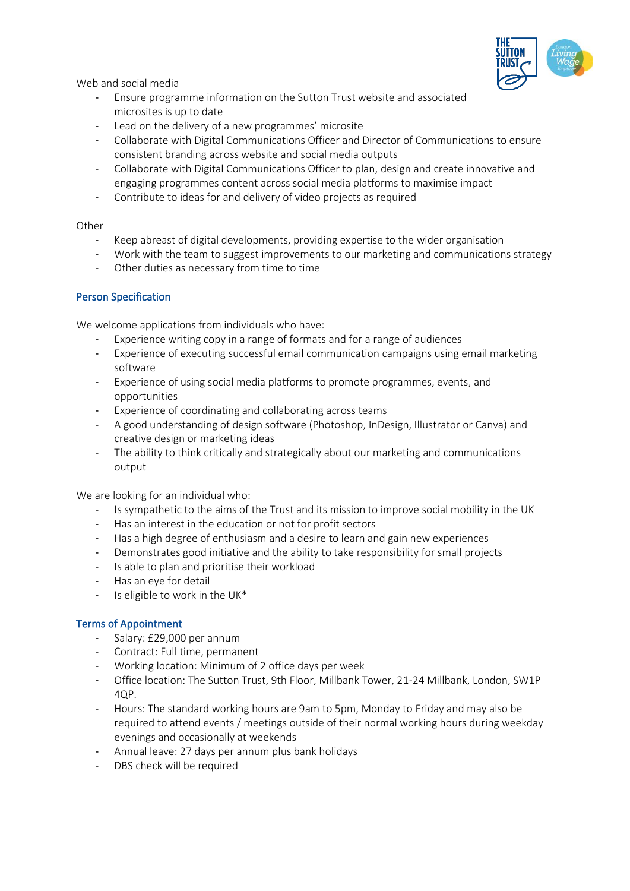

Web and social media

- Ensure programme information on the Sutton Trust website and associated microsites is up to date
- Lead on the delivery of a new programmes' microsite
- Collaborate with Digital Communications Officer and Director of Communications to ensure consistent branding across website and social media outputs
- Collaborate with Digital Communications Officer to plan, design and create innovative and engaging programmes content across social media platforms to maximise impact
- Contribute to ideas for and delivery of video projects as required

#### Other

- Keep abreast of digital developments, providing expertise to the wider organisation
- Work with the team to suggest improvements to our marketing and communications strategy
- Other duties as necessary from time to time

#### Person Specification

We welcome applications from individuals who have:

- Experience writing copy in a range of formats and for a range of audiences
- Experience of executing successful email communication campaigns using email marketing software
- Experience of using social media platforms to promote programmes, events, and opportunities
- Experience of coordinating and collaborating across teams
- A good understanding of design software (Photoshop, InDesign, Illustrator or Canva) and creative design or marketing ideas
- The ability to think critically and strategically about our marketing and communications output

We are looking for an individual who:

- Is sympathetic to the aims of the Trust and its mission to improve social mobility in the UK
- Has an interest in the education or not for profit sectors
- Has a high degree of enthusiasm and a desire to learn and gain new experiences
- Demonstrates good initiative and the ability to take responsibility for small projects
- Is able to plan and prioritise their workload
- Has an eye for detail
- Is eligible to work in the UK\*

## Terms of Appointment

- Salary: £29,000 per annum
- Contract: Full time, permanent
- Working location: Minimum of 2 office days per week
- Office location: The Sutton Trust, 9th Floor, Millbank Tower, 21-24 Millbank, London, SW1P 4QP.
- Hours: The standard working hours are 9am to 5pm, Monday to Friday and may also be required to attend events / meetings outside of their normal working hours during weekday evenings and occasionally at weekends
- Annual leave: 27 days per annum plus bank holidays
- DBS check will be required